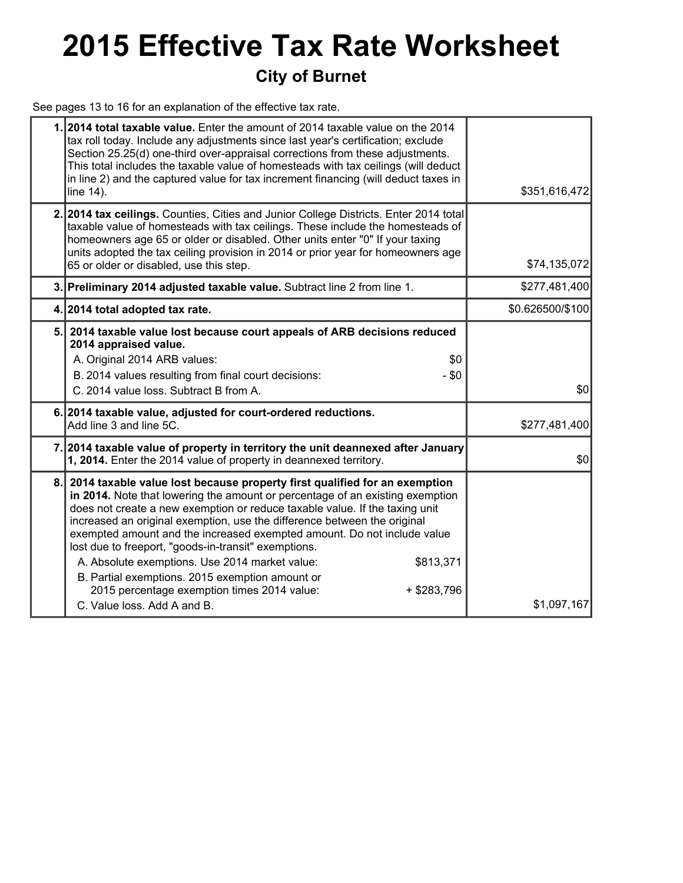# **2015 Effective Tax Rate Worksheet City of Burnet**

See pages 13 to 16 for an explanation of the effective tax rate.

|     | 1.2014 total taxable value. Enter the amount of 2014 taxable value on the 2014<br>tax roll today. Include any adjustments since last year's certification; exclude<br>Section 25.25(d) one-third over-appraisal corrections from these adjustments.<br>This total includes the taxable value of homesteads with tax ceilings (will deduct<br>in line 2) and the captured value for tax increment financing (will deduct taxes in<br>line 14).                                                                                                                                                                                                                             | \$351,616,472    |
|-----|---------------------------------------------------------------------------------------------------------------------------------------------------------------------------------------------------------------------------------------------------------------------------------------------------------------------------------------------------------------------------------------------------------------------------------------------------------------------------------------------------------------------------------------------------------------------------------------------------------------------------------------------------------------------------|------------------|
|     | 2. 2014 tax ceilings. Counties, Cities and Junior College Districts. Enter 2014 total<br>taxable value of homesteads with tax ceilings. These include the homesteads of<br>homeowners age 65 or older or disabled. Other units enter "0" If your taxing<br>units adopted the tax ceiling provision in 2014 or prior year for homeowners age<br>65 or older or disabled, use this step.                                                                                                                                                                                                                                                                                    | \$74,135,072     |
|     | 3. Preliminary 2014 adjusted taxable value. Subtract line 2 from line 1.                                                                                                                                                                                                                                                                                                                                                                                                                                                                                                                                                                                                  | \$277,481,400    |
|     | 4. 2014 total adopted tax rate.                                                                                                                                                                                                                                                                                                                                                                                                                                                                                                                                                                                                                                           | \$0.626500/\$100 |
| 5.  | 2014 taxable value lost because court appeals of ARB decisions reduced<br>2014 appraised value.<br>A. Original 2014 ARB values:<br>\$0<br>B. 2014 values resulting from final court decisions:<br>- \$0<br>C. 2014 value loss. Subtract B from A.                                                                                                                                                                                                                                                                                                                                                                                                                         | \$0              |
|     | 6. 2014 taxable value, adjusted for court-ordered reductions.<br>Add line 3 and line 5C.                                                                                                                                                                                                                                                                                                                                                                                                                                                                                                                                                                                  | \$277,481,400    |
| 7.I | 2014 taxable value of property in territory the unit deannexed after January<br>1, 2014. Enter the 2014 value of property in deannexed territory.                                                                                                                                                                                                                                                                                                                                                                                                                                                                                                                         | \$0              |
| 8.  | 2014 taxable value lost because property first qualified for an exemption<br>in 2014. Note that lowering the amount or percentage of an existing exemption<br>does not create a new exemption or reduce taxable value. If the taxing unit<br>increased an original exemption, use the difference between the original<br>exempted amount and the increased exempted amount. Do not include value<br>lost due to freeport, "goods-in-transit" exemptions.<br>A. Absolute exemptions. Use 2014 market value:<br>\$813,371<br>B. Partial exemptions. 2015 exemption amount or<br>2015 percentage exemption times 2014 value:<br>$+$ \$283,796<br>C. Value loss, Add A and B. | \$1,097,167      |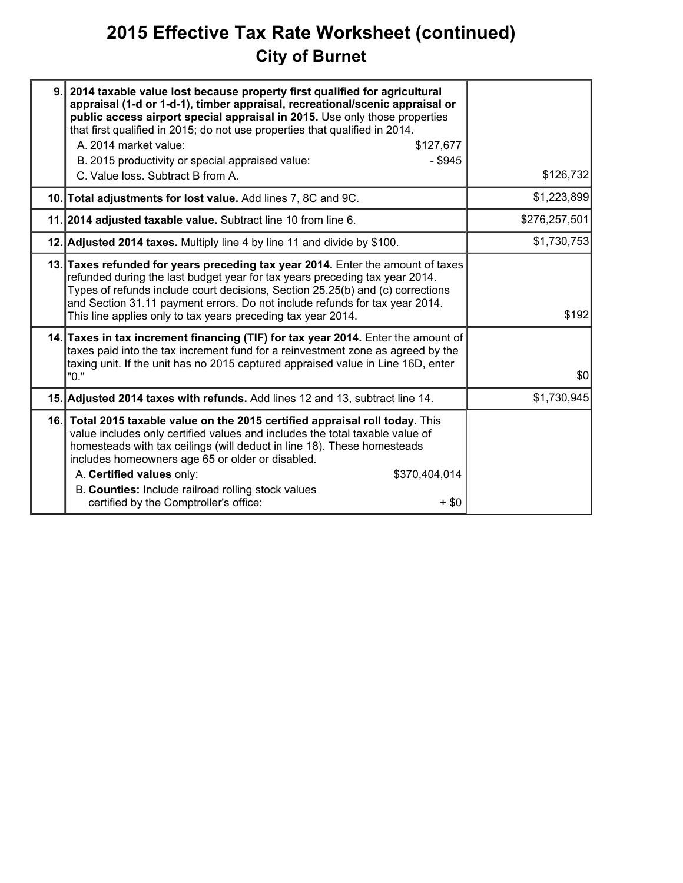# **2015 Effective Tax Rate Worksheet (continued) City of Burnet**

| 9. | 2014 taxable value lost because property first qualified for agricultural<br>appraisal (1-d or 1-d-1), timber appraisal, recreational/scenic appraisal or<br>public access airport special appraisal in 2015. Use only those properties<br>that first qualified in 2015; do not use properties that qualified in 2014.<br>A. 2014 market value:<br>\$127,677<br>$-$ \$945<br>B. 2015 productivity or special appraised value:<br>C. Value loss. Subtract B from A. | \$126,732     |
|----|--------------------------------------------------------------------------------------------------------------------------------------------------------------------------------------------------------------------------------------------------------------------------------------------------------------------------------------------------------------------------------------------------------------------------------------------------------------------|---------------|
|    | 10. Total adjustments for lost value. Add lines 7, 8C and 9C.                                                                                                                                                                                                                                                                                                                                                                                                      | \$1,223,899   |
|    | 11. 2014 adjusted taxable value. Subtract line 10 from line 6.                                                                                                                                                                                                                                                                                                                                                                                                     | \$276,257,501 |
|    | 12. Adjusted 2014 taxes. Multiply line 4 by line 11 and divide by \$100.                                                                                                                                                                                                                                                                                                                                                                                           | \$1,730,753   |
|    | 13. Taxes refunded for years preceding tax year 2014. Enter the amount of taxes<br>refunded during the last budget year for tax years preceding tax year 2014.<br>Types of refunds include court decisions, Section 25.25(b) and (c) corrections<br>and Section 31.11 payment errors. Do not include refunds for tax year 2014.<br>This line applies only to tax years preceding tax year 2014.                                                                    | \$192         |
|    | 14. Taxes in tax increment financing (TIF) for tax year 2014. Enter the amount of<br>taxes paid into the tax increment fund for a reinvestment zone as agreed by the<br>taxing unit. If the unit has no 2015 captured appraised value in Line 16D, enter<br>"0."                                                                                                                                                                                                   | \$0           |
|    | 15. Adjusted 2014 taxes with refunds. Add lines 12 and 13, subtract line 14.                                                                                                                                                                                                                                                                                                                                                                                       | \$1,730,945   |
|    | 16. Total 2015 taxable value on the 2015 certified appraisal roll today. This<br>value includes only certified values and includes the total taxable value of<br>homesteads with tax ceilings (will deduct in line 18). These homesteads<br>includes homeowners age 65 or older or disabled.<br>A. Certified values only:<br>\$370,404,014<br>B. Counties: Include railroad rolling stock values<br>certified by the Comptroller's office:<br>+ \$0                |               |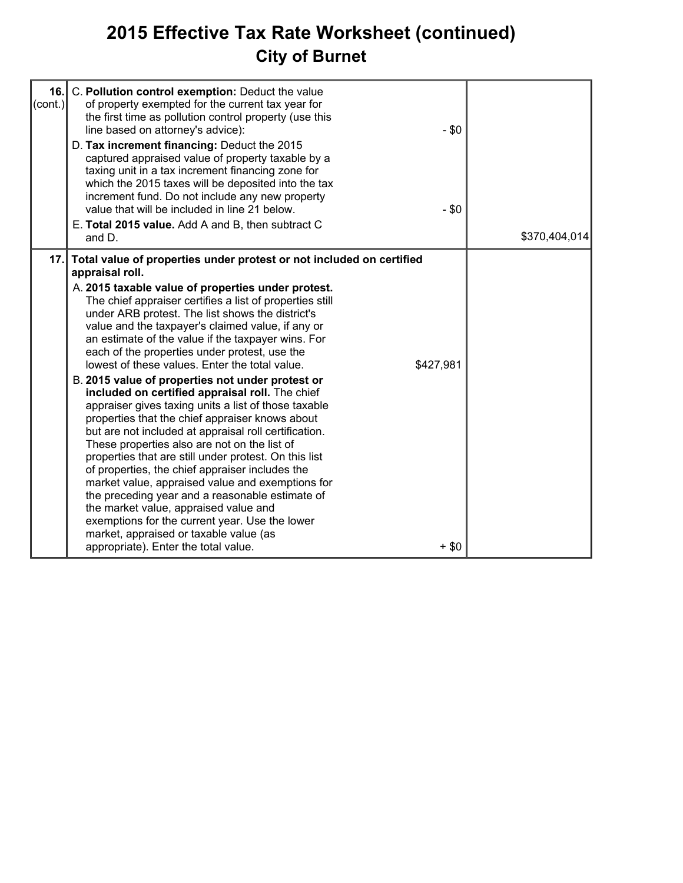# **2015 Effective Tax Rate Worksheet (continued) City of Burnet**

| 16.<br>$ (\mathsf{cont.}) $ | C. Pollution control exemption: Deduct the value<br>of property exempted for the current tax year for<br>the first time as pollution control property (use this<br>line based on attorney's advice):<br>D. Tax increment financing: Deduct the 2015<br>captured appraised value of property taxable by a<br>taxing unit in a tax increment financing zone for<br>which the 2015 taxes will be deposited into the tax<br>increment fund. Do not include any new property<br>value that will be included in line 21 below.<br>E. Total 2015 value. Add A and B, then subtract C<br>and D.                                                                                                                                                                                                                                                                                                                                                                                                                                                                                                                                                                                                                | $-$ \$0<br>$-$ \$0   | \$370,404,014 |
|-----------------------------|--------------------------------------------------------------------------------------------------------------------------------------------------------------------------------------------------------------------------------------------------------------------------------------------------------------------------------------------------------------------------------------------------------------------------------------------------------------------------------------------------------------------------------------------------------------------------------------------------------------------------------------------------------------------------------------------------------------------------------------------------------------------------------------------------------------------------------------------------------------------------------------------------------------------------------------------------------------------------------------------------------------------------------------------------------------------------------------------------------------------------------------------------------------------------------------------------------|----------------------|---------------|
| 17.1                        | Total value of properties under protest or not included on certified<br>appraisal roll.<br>A. 2015 taxable value of properties under protest.<br>The chief appraiser certifies a list of properties still<br>under ARB protest. The list shows the district's<br>value and the taxpayer's claimed value, if any or<br>an estimate of the value if the taxpayer wins. For<br>each of the properties under protest, use the<br>lowest of these values. Enter the total value.<br>B. 2015 value of properties not under protest or<br>included on certified appraisal roll. The chief<br>appraiser gives taxing units a list of those taxable<br>properties that the chief appraiser knows about<br>but are not included at appraisal roll certification.<br>These properties also are not on the list of<br>properties that are still under protest. On this list<br>of properties, the chief appraiser includes the<br>market value, appraised value and exemptions for<br>the preceding year and a reasonable estimate of<br>the market value, appraised value and<br>exemptions for the current year. Use the lower<br>market, appraised or taxable value (as<br>appropriate). Enter the total value. | \$427,981<br>$+$ \$0 |               |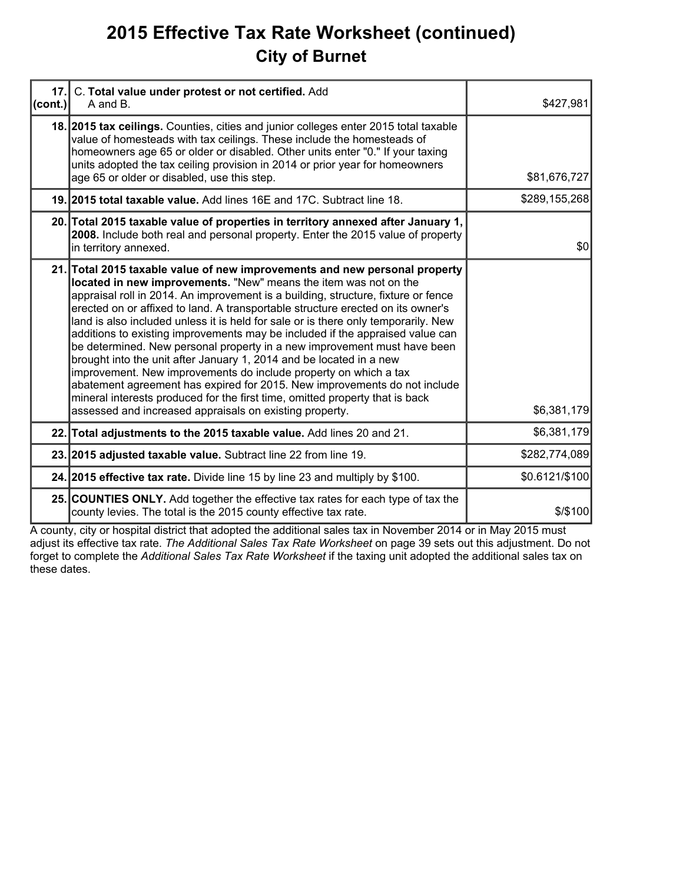# **2015 Effective Tax Rate Worksheet (continued) City of Burnet**

| 17.     | C. Total value under protest or not certified. Add                                                                                                                                                                                                                                                                                                                                                                                                                                                                                                                                                                                                                                                                                                                                                                                                                                                                                           |                |
|---------|----------------------------------------------------------------------------------------------------------------------------------------------------------------------------------------------------------------------------------------------------------------------------------------------------------------------------------------------------------------------------------------------------------------------------------------------------------------------------------------------------------------------------------------------------------------------------------------------------------------------------------------------------------------------------------------------------------------------------------------------------------------------------------------------------------------------------------------------------------------------------------------------------------------------------------------------|----------------|
| (cont.) | A and B.                                                                                                                                                                                                                                                                                                                                                                                                                                                                                                                                                                                                                                                                                                                                                                                                                                                                                                                                     | \$427,981      |
|         | 18. 2015 tax cellings. Counties, cities and junior colleges enter 2015 total taxable<br>value of homesteads with tax ceilings. These include the homesteads of<br>homeowners age 65 or older or disabled. Other units enter "0." If your taxing<br>units adopted the tax ceiling provision in 2014 or prior year for homeowners<br>age 65 or older or disabled, use this step.                                                                                                                                                                                                                                                                                                                                                                                                                                                                                                                                                               | \$81,676,727   |
|         | 19. 2015 total taxable value. Add lines 16E and 17C. Subtract line 18.                                                                                                                                                                                                                                                                                                                                                                                                                                                                                                                                                                                                                                                                                                                                                                                                                                                                       | \$289,155,268  |
|         | 20. Total 2015 taxable value of properties in territory annexed after January 1,<br>2008. Include both real and personal property. Enter the 2015 value of property<br>in territory annexed.                                                                                                                                                                                                                                                                                                                                                                                                                                                                                                                                                                                                                                                                                                                                                 | \$0            |
|         | 21. Total 2015 taxable value of new improvements and new personal property<br>located in new improvements. "New" means the item was not on the<br>appraisal roll in 2014. An improvement is a building, structure, fixture or fence<br>erected on or affixed to land. A transportable structure erected on its owner's<br>land is also included unless it is held for sale or is there only temporarily. New<br>additions to existing improvements may be included if the appraised value can<br>be determined. New personal property in a new improvement must have been<br>brought into the unit after January 1, 2014 and be located in a new<br>improvement. New improvements do include property on which a tax<br>abatement agreement has expired for 2015. New improvements do not include<br>mineral interests produced for the first time, omitted property that is back<br>assessed and increased appraisals on existing property. | \$6,381,179    |
|         | 22. Total adjustments to the 2015 taxable value. Add lines 20 and 21.                                                                                                                                                                                                                                                                                                                                                                                                                                                                                                                                                                                                                                                                                                                                                                                                                                                                        | \$6,381,179    |
|         | 23. 2015 adjusted taxable value. Subtract line 22 from line 19.                                                                                                                                                                                                                                                                                                                                                                                                                                                                                                                                                                                                                                                                                                                                                                                                                                                                              | \$282,774,089  |
|         | 24. 2015 effective tax rate. Divide line 15 by line 23 and multiply by \$100.                                                                                                                                                                                                                                                                                                                                                                                                                                                                                                                                                                                                                                                                                                                                                                                                                                                                | \$0.6121/\$100 |
|         | 25. COUNTIES ONLY. Add together the effective tax rates for each type of tax the<br>county levies. The total is the 2015 county effective tax rate.                                                                                                                                                                                                                                                                                                                                                                                                                                                                                                                                                                                                                                                                                                                                                                                          | \$/\$100       |

A county, city or hospital district that adopted the additional sales tax in November 2014 or in May 2015 must adjust its effective tax rate. *The Additional Sales Tax Rate Worksheet* on page 39 sets out this adjustment. Do not forget to complete the *Additional Sales Tax Rate Worksheet* if the taxing unit adopted the additional sales tax on these dates.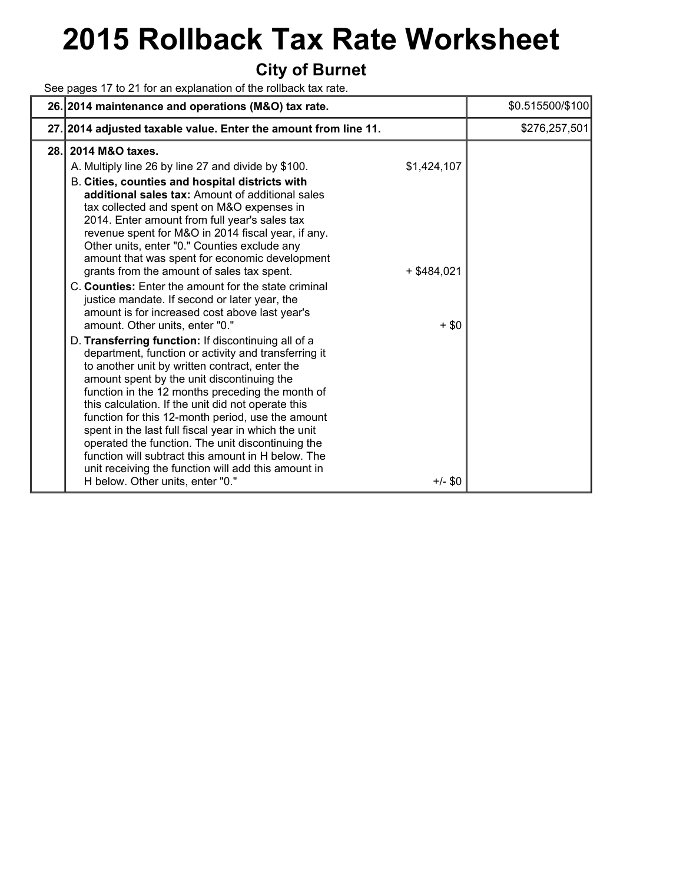# **2015 Rollback Tax Rate Worksheet**

### **City of Burnet**

See pages 17 to 21 for an explanation of the rollback tax rate.

|      | 26. 2014 maintenance and operations (M&O) tax rate.                                                                                                                                                                                                                                                                                                                                                                                                                                                                                                                                                                                                                                                                                                                                                                                                                                                                                                                                                                                                                                                                                                                                                                                                                                                                                 | \$0.515500/\$100 |
|------|-------------------------------------------------------------------------------------------------------------------------------------------------------------------------------------------------------------------------------------------------------------------------------------------------------------------------------------------------------------------------------------------------------------------------------------------------------------------------------------------------------------------------------------------------------------------------------------------------------------------------------------------------------------------------------------------------------------------------------------------------------------------------------------------------------------------------------------------------------------------------------------------------------------------------------------------------------------------------------------------------------------------------------------------------------------------------------------------------------------------------------------------------------------------------------------------------------------------------------------------------------------------------------------------------------------------------------------|------------------|
|      | 27. 2014 adjusted taxable value. Enter the amount from line 11.                                                                                                                                                                                                                                                                                                                                                                                                                                                                                                                                                                                                                                                                                                                                                                                                                                                                                                                                                                                                                                                                                                                                                                                                                                                                     | \$276,257,501    |
| 28.1 | 2014 M&O taxes.<br>\$1,424,107<br>A. Multiply line 26 by line 27 and divide by \$100.<br>B. Cities, counties and hospital districts with<br>additional sales tax: Amount of additional sales<br>tax collected and spent on M&O expenses in<br>2014. Enter amount from full year's sales tax<br>revenue spent for M&O in 2014 fiscal year, if any.<br>Other units, enter "0." Counties exclude any<br>amount that was spent for economic development<br>grants from the amount of sales tax spent.<br>$+$ \$484,021<br>C. Counties: Enter the amount for the state criminal<br>justice mandate. If second or later year, the<br>amount is for increased cost above last year's<br>amount. Other units, enter "0."<br>$+$ \$0<br>D. Transferring function: If discontinuing all of a<br>department, function or activity and transferring it<br>to another unit by written contract, enter the<br>amount spent by the unit discontinuing the<br>function in the 12 months preceding the month of<br>this calculation. If the unit did not operate this<br>function for this 12-month period, use the amount<br>spent in the last full fiscal year in which the unit<br>operated the function. The unit discontinuing the<br>function will subtract this amount in H below. The<br>unit receiving the function will add this amount in |                  |
|      | H below. Other units, enter "0."<br>$+/-$ \$0                                                                                                                                                                                                                                                                                                                                                                                                                                                                                                                                                                                                                                                                                                                                                                                                                                                                                                                                                                                                                                                                                                                                                                                                                                                                                       |                  |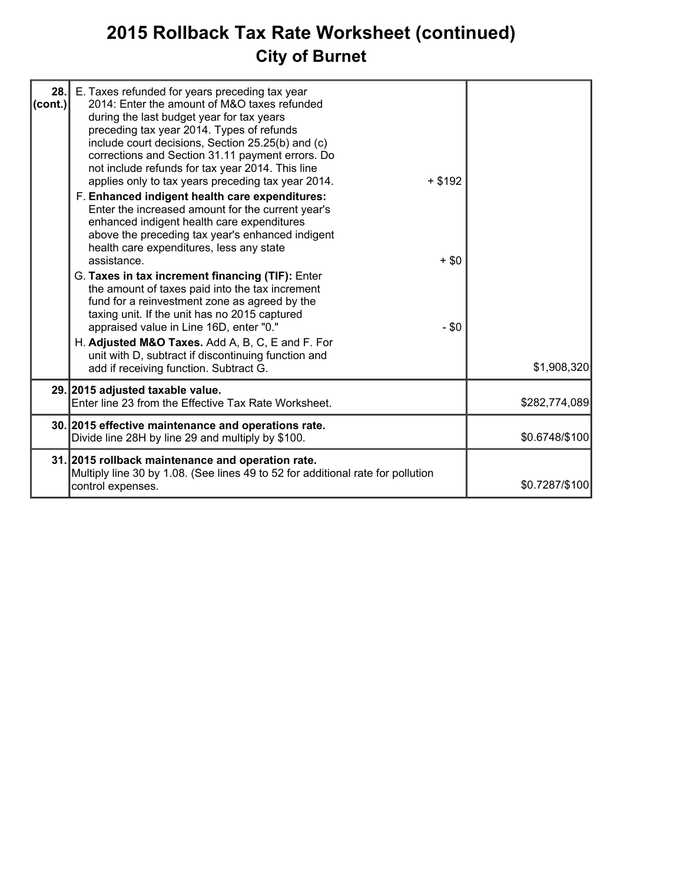# **2015 Rollback Tax Rate Worksheet (continued) City of Burnet**

| 28.<br>(cont.) | E. Taxes refunded for years preceding tax year<br>2014: Enter the amount of M&O taxes refunded                                                                                                                                                                                                            |           |                |
|----------------|-----------------------------------------------------------------------------------------------------------------------------------------------------------------------------------------------------------------------------------------------------------------------------------------------------------|-----------|----------------|
|                | during the last budget year for tax years<br>preceding tax year 2014. Types of refunds<br>include court decisions, Section 25.25(b) and (c)<br>corrections and Section 31.11 payment errors. Do<br>not include refunds for tax year 2014. This line<br>applies only to tax years preceding tax year 2014. | $+$ \$192 |                |
|                | F. Enhanced indigent health care expenditures:<br>Enter the increased amount for the current year's<br>enhanced indigent health care expenditures<br>above the preceding tax year's enhanced indigent<br>health care expenditures, less any state<br>assistance.                                          | $+$ \$0   |                |
|                | G. Taxes in tax increment financing (TIF): Enter<br>the amount of taxes paid into the tax increment<br>fund for a reinvestment zone as agreed by the<br>taxing unit. If the unit has no 2015 captured<br>appraised value in Line 16D, enter "0."<br>H. Adjusted M&O Taxes. Add A, B, C, E and F. For      | $- $0$    |                |
|                | unit with D, subtract if discontinuing function and<br>add if receiving function. Subtract G.                                                                                                                                                                                                             |           | \$1,908,320    |
|                | 29. 2015 adjusted taxable value.<br>Enter line 23 from the Effective Tax Rate Worksheet.                                                                                                                                                                                                                  |           | \$282,774,089  |
|                | 30. 2015 effective maintenance and operations rate.<br>Divide line 28H by line 29 and multiply by \$100.                                                                                                                                                                                                  |           | \$0.6748/\$100 |
|                | 31. 2015 rollback maintenance and operation rate.<br>Multiply line 30 by 1.08. (See lines 49 to 52 for additional rate for pollution<br>control expenses.                                                                                                                                                 |           | \$0.7287/\$100 |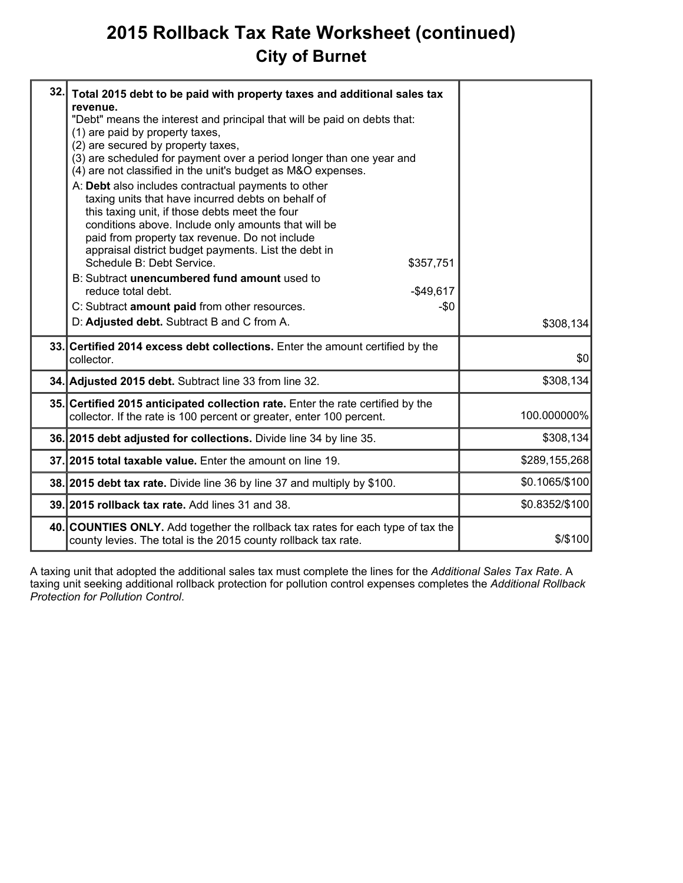# **2015 Rollback Tax Rate Worksheet (continued) City of Burnet**

| 32. | Total 2015 debt to be paid with property taxes and additional sales tax<br>revenue.<br>"Debt" means the interest and principal that will be paid on debts that:<br>(1) are paid by property taxes,<br>(2) are secured by property taxes,<br>(3) are scheduled for payment over a period longer than one year and<br>(4) are not classified in the unit's budget as M&O expenses.<br>A: Debt also includes contractual payments to other<br>taxing units that have incurred debts on behalf of<br>this taxing unit, if those debts meet the four<br>conditions above. Include only amounts that will be<br>paid from property tax revenue. Do not include<br>appraisal district budget payments. List the debt in<br>Schedule B: Debt Service.<br>\$357,751<br>B: Subtract unencumbered fund amount used to<br>reduce total debt.<br>$-$49,617$<br>C: Subtract amount paid from other resources.<br>-\$0<br>D: Adjusted debt. Subtract B and C from A. | \$308,134      |
|-----|-------------------------------------------------------------------------------------------------------------------------------------------------------------------------------------------------------------------------------------------------------------------------------------------------------------------------------------------------------------------------------------------------------------------------------------------------------------------------------------------------------------------------------------------------------------------------------------------------------------------------------------------------------------------------------------------------------------------------------------------------------------------------------------------------------------------------------------------------------------------------------------------------------------------------------------------------------|----------------|
|     | 33. Certified 2014 excess debt collections. Enter the amount certified by the<br>collector.                                                                                                                                                                                                                                                                                                                                                                                                                                                                                                                                                                                                                                                                                                                                                                                                                                                           | \$0            |
|     | 34. Adjusted 2015 debt. Subtract line 33 from line 32.                                                                                                                                                                                                                                                                                                                                                                                                                                                                                                                                                                                                                                                                                                                                                                                                                                                                                                | \$308,134      |
|     | 35. Certified 2015 anticipated collection rate. Enter the rate certified by the<br>collector. If the rate is 100 percent or greater, enter 100 percent.                                                                                                                                                                                                                                                                                                                                                                                                                                                                                                                                                                                                                                                                                                                                                                                               | 100.000000%    |
|     | 36. 2015 debt adjusted for collections. Divide line 34 by line 35.                                                                                                                                                                                                                                                                                                                                                                                                                                                                                                                                                                                                                                                                                                                                                                                                                                                                                    | \$308,134      |
|     | 37.12015 total taxable value. Enter the amount on line 19.                                                                                                                                                                                                                                                                                                                                                                                                                                                                                                                                                                                                                                                                                                                                                                                                                                                                                            | \$289,155,268  |
|     | 38. 2015 debt tax rate. Divide line 36 by line 37 and multiply by \$100.                                                                                                                                                                                                                                                                                                                                                                                                                                                                                                                                                                                                                                                                                                                                                                                                                                                                              | \$0.1065/\$100 |
|     | 39. 2015 rollback tax rate. Add lines 31 and 38.                                                                                                                                                                                                                                                                                                                                                                                                                                                                                                                                                                                                                                                                                                                                                                                                                                                                                                      | \$0.8352/\$100 |
|     | 40. COUNTIES ONLY. Add together the rollback tax rates for each type of tax the<br>county levies. The total is the 2015 county rollback tax rate.                                                                                                                                                                                                                                                                                                                                                                                                                                                                                                                                                                                                                                                                                                                                                                                                     | \$/\$100       |

A taxing unit that adopted the additional sales tax must complete the lines for the *Additional Sales Tax Rate*. A taxing unit seeking additional rollback protection for pollution control expenses completes the *Additional Rollback Protection for Pollution Control*.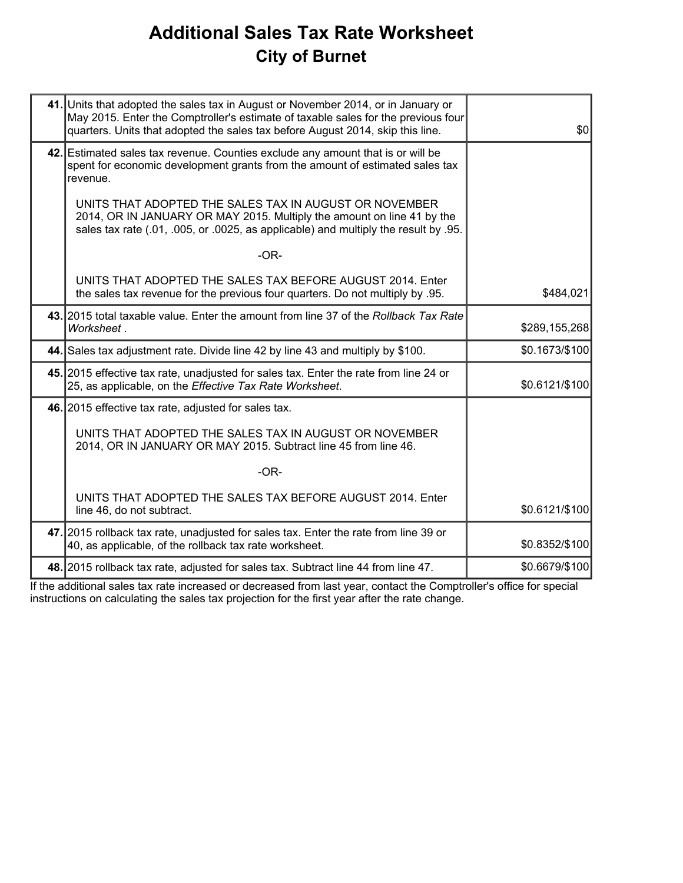# **Additional Sales Tax Rate Worksheet City of Burnet**

| 41. Units that adopted the sales tax in August or November 2014, or in January or<br>May 2015. Enter the Comptroller's estimate of taxable sales for the previous four<br>quarters. Units that adopted the sales tax before August 2014, skip this line. | \$0            |
|----------------------------------------------------------------------------------------------------------------------------------------------------------------------------------------------------------------------------------------------------------|----------------|
| 42. Estimated sales tax revenue. Counties exclude any amount that is or will be<br>spent for economic development grants from the amount of estimated sales tax<br>revenue.                                                                              |                |
| UNITS THAT ADOPTED THE SALES TAX IN AUGUST OR NOVEMBER<br>2014, OR IN JANUARY OR MAY 2015. Multiply the amount on line 41 by the<br>sales tax rate (.01, .005, or .0025, as applicable) and multiply the result by .95.                                  |                |
| $-OR-$                                                                                                                                                                                                                                                   |                |
| UNITS THAT ADOPTED THE SALES TAX BEFORE AUGUST 2014. Enter<br>the sales tax revenue for the previous four quarters. Do not multiply by .95.                                                                                                              | \$484,021      |
| 43. 2015 total taxable value. Enter the amount from line 37 of the Rollback Tax Rate<br>Worksheet.                                                                                                                                                       | \$289,155,268  |
| 44. Sales tax adjustment rate. Divide line 42 by line 43 and multiply by \$100.                                                                                                                                                                          | \$0.1673/\$100 |
| 45. 2015 effective tax rate, unadjusted for sales tax. Enter the rate from line 24 or<br>25, as applicable, on the Effective Tax Rate Worksheet.                                                                                                         | \$0.6121/\$100 |
| 46. 2015 effective tax rate, adjusted for sales tax.                                                                                                                                                                                                     |                |
| UNITS THAT ADOPTED THE SALES TAX IN AUGUST OR NOVEMBER<br>2014, OR IN JANUARY OR MAY 2015. Subtract line 45 from line 46.                                                                                                                                |                |
| $-OR-$                                                                                                                                                                                                                                                   |                |
| UNITS THAT ADOPTED THE SALES TAX BEFORE AUGUST 2014. Enter<br>line 46, do not subtract.                                                                                                                                                                  | \$0.6121/\$100 |
| 47. 2015 rollback tax rate, unadjusted for sales tax. Enter the rate from line 39 or<br>40, as applicable, of the rollback tax rate worksheet.                                                                                                           | \$0.8352/\$100 |
| 48. 2015 rollback tax rate, adjusted for sales tax. Subtract line 44 from line 47.                                                                                                                                                                       | \$0.6679/\$100 |
|                                                                                                                                                                                                                                                          |                |

If the additional sales tax rate increased or decreased from last year, contact the Comptroller's office for special instructions on calculating the sales tax projection for the first year after the rate change.